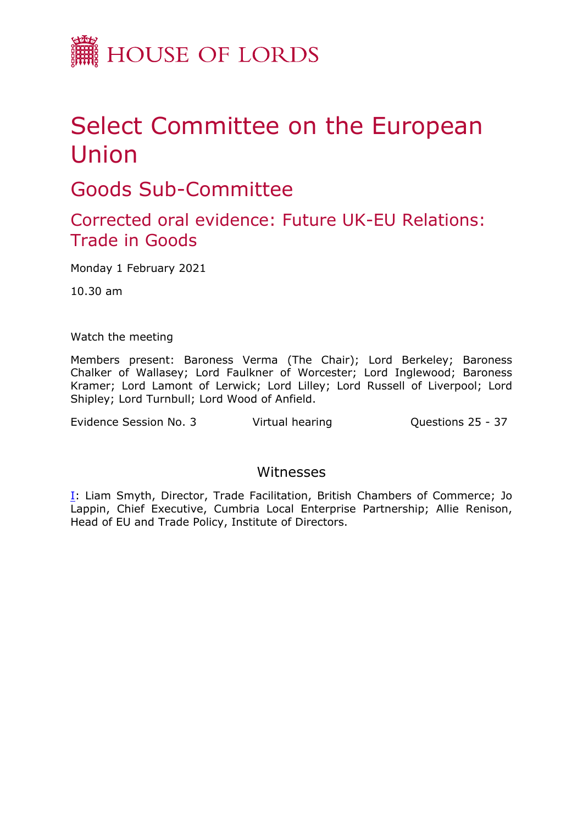

## Select Committee on the European Union

Goods Sub-Committee

## Corrected oral evidence: Future UK-EU Relations: Trade in Goods

Monday 1 February 2021

10.30 am

Watch the meeting

Members present: Baroness Verma (The Chair); Lord Berkeley; Baroness Chalker of Wallasey; Lord Faulkner of Worcester; Lord Inglewood; Baroness Kramer; Lord Lamont of Lerwick; Lord Lilley; Lord Russell of Liverpool; Lord Shipley; Lord Turnbull; Lord Wood of Anfield.

Evidence Session No. 3 Virtual hearing Cuestions 25 - 37

## Witnesses

[I:](#page-1-0) Liam Smyth, Director, Trade Facilitation, British Chambers of Commerce; Jo Lappin, Chief Executive, Cumbria Local Enterprise Partnership; Allie Renison, Head of EU and Trade Policy, Institute of Directors.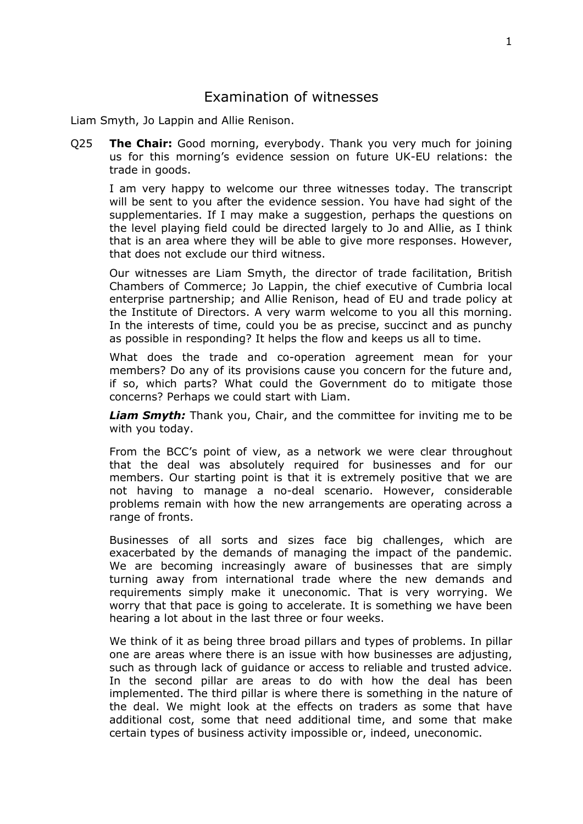## <span id="page-1-0"></span>Examination of witnesses

Liam Smyth, Jo Lappin and Allie Renison.

Q25 **The Chair:** Good morning, everybody. Thank you very much for joining us for this morning's evidence session on future UK-EU relations: the trade in goods.

I am very happy to welcome our three witnesses today. The transcript will be sent to you after the evidence session. You have had sight of the supplementaries. If I may make a suggestion, perhaps the questions on the level playing field could be directed largely to Jo and Allie, as I think that is an area where they will be able to give more responses. However, that does not exclude our third witness.

Our witnesses are Liam Smyth, the director of trade facilitation, British Chambers of Commerce; Jo Lappin, the chief executive of Cumbria local enterprise partnership; and Allie Renison, head of EU and trade policy at the Institute of Directors. A very warm welcome to you all this morning. In the interests of time, could you be as precise, succinct and as punchy as possible in responding? It helps the flow and keeps us all to time.

What does the trade and co-operation agreement mean for your members? Do any of its provisions cause you concern for the future and, if so, which parts? What could the Government do to mitigate those concerns? Perhaps we could start with Liam.

*Liam Smyth:* Thank you, Chair, and the committee for inviting me to be with you today.

From the BCC's point of view, as a network we were clear throughout that the deal was absolutely required for businesses and for our members. Our starting point is that it is extremely positive that we are not having to manage a no-deal scenario. However, considerable problems remain with how the new arrangements are operating across a range of fronts.

Businesses of all sorts and sizes face big challenges, which are exacerbated by the demands of managing the impact of the pandemic. We are becoming increasingly aware of businesses that are simply turning away from international trade where the new demands and requirements simply make it uneconomic. That is very worrying. We worry that that pace is going to accelerate. It is something we have been hearing a lot about in the last three or four weeks.

We think of it as being three broad pillars and types of problems. In pillar one are areas where there is an issue with how businesses are adjusting, such as through lack of guidance or access to reliable and trusted advice. In the second pillar are areas to do with how the deal has been implemented. The third pillar is where there is something in the nature of the deal. We might look at the effects on traders as some that have additional cost, some that need additional time, and some that make certain types of business activity impossible or, indeed, uneconomic.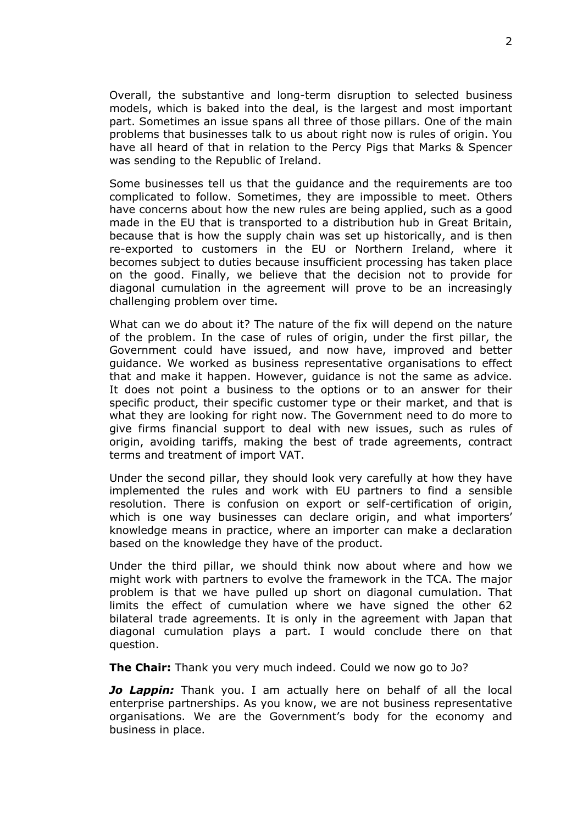Overall, the substantive and long-term disruption to selected business models, which is baked into the deal, is the largest and most important part. Sometimes an issue spans all three of those pillars. One of the main problems that businesses talk to us about right now is rules of origin. You have all heard of that in relation to the Percy Pigs that Marks & Spencer was sending to the Republic of Ireland.

Some businesses tell us that the guidance and the requirements are too complicated to follow. Sometimes, they are impossible to meet. Others have concerns about how the new rules are being applied, such as a good made in the EU that is transported to a distribution hub in Great Britain, because that is how the supply chain was set up historically, and is then re-exported to customers in the EU or Northern Ireland, where it becomes subject to duties because insufficient processing has taken place on the good. Finally, we believe that the decision not to provide for diagonal cumulation in the agreement will prove to be an increasingly challenging problem over time.

What can we do about it? The nature of the fix will depend on the nature of the problem. In the case of rules of origin, under the first pillar, the Government could have issued, and now have, improved and better guidance. We worked as business representative organisations to effect that and make it happen. However, guidance is not the same as advice. It does not point a business to the options or to an answer for their specific product, their specific customer type or their market, and that is what they are looking for right now. The Government need to do more to give firms financial support to deal with new issues, such as rules of origin, avoiding tariffs, making the best of trade agreements, contract terms and treatment of import VAT.

Under the second pillar, they should look very carefully at how they have implemented the rules and work with EU partners to find a sensible resolution. There is confusion on export or self-certification of origin, which is one way businesses can declare origin, and what importers' knowledge means in practice, where an importer can make a declaration based on the knowledge they have of the product.

Under the third pillar, we should think now about where and how we might work with partners to evolve the framework in the TCA. The major problem is that we have pulled up short on diagonal cumulation. That limits the effect of cumulation where we have signed the other 62 bilateral trade agreements. It is only in the agreement with Japan that diagonal cumulation plays a part. I would conclude there on that question.

**The Chair:** Thank you very much indeed. Could we now go to Jo?

*Jo Lappin:* Thank you. I am actually here on behalf of all the local enterprise partnerships. As you know, we are not business representative organisations. We are the Government's body for the economy and business in place.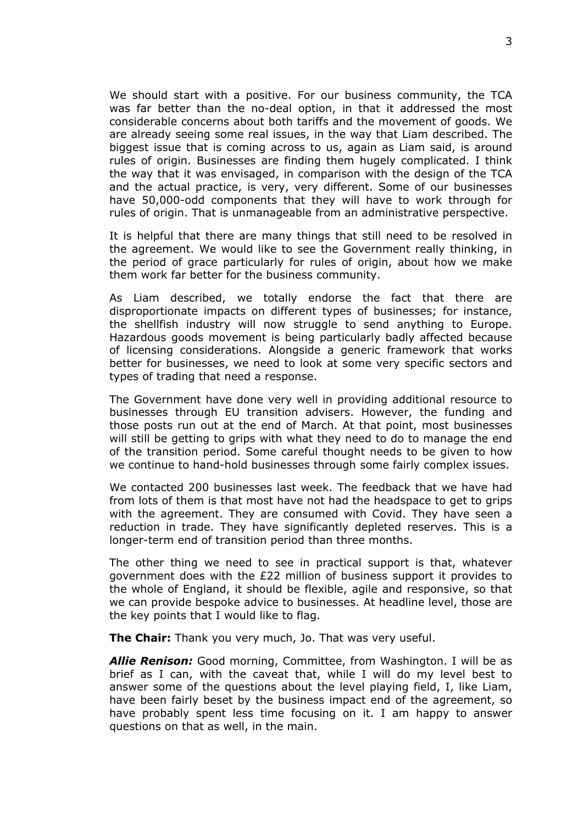We should start with a positive. For our business community, the TCA was far better than the no-deal option, in that it addressed the most considerable concerns about both tariffs and the movement of goods. We are already seeing some real issues, in the way that Liam described. The biggest issue that is coming across to us, again as Liam said, is around rules of origin. Businesses are finding them hugely complicated. I think the way that it was envisaged, in comparison with the design of the TCA and the actual practice, is very, very different. Some of our businesses have 50,000-odd components that they will have to work through for rules of origin. That is unmanageable from an administrative perspective.

It is helpful that there are many things that still need to be resolved in the agreement. We would like to see the Government really thinking, in the period of grace particularly for rules of origin, about how we make them work far better for the business community.

As Liam described, we totally endorse the fact that there are disproportionate impacts on different types of businesses; for instance, the shellfish industry will now struggle to send anything to Europe. Hazardous goods movement is being particularly badly affected because of licensing considerations. Alongside a generic framework that works better for businesses, we need to look at some very specific sectors and types of trading that need a response.

The Government have done very well in providing additional resource to businesses through EU transition advisers. However, the funding and those posts run out at the end of March. At that point, most businesses will still be getting to grips with what they need to do to manage the end of the transition period. Some careful thought needs to be given to how we continue to hand-hold businesses through some fairly complex issues.

We contacted 200 businesses last week. The feedback that we have had from lots of them is that most have not had the headspace to get to grips with the agreement. They are consumed with Covid. They have seen a reduction in trade. They have significantly depleted reserves. This is a longer-term end of transition period than three months.

The other thing we need to see in practical support is that, whatever government does with the £22 million of business support it provides to the whole of England, it should be flexible, agile and responsive, so that we can provide bespoke advice to businesses. At headline level, those are the key points that I would like to flag.

**The Chair:** Thank you very much, Jo. That was very useful.

*Allie Renison:* Good morning, Committee, from Washington. I will be as brief as I can, with the caveat that, while I will do my level best to answer some of the questions about the level playing field, I, like Liam, have been fairly beset by the business impact end of the agreement, so have probably spent less time focusing on it. I am happy to answer questions on that as well, in the main.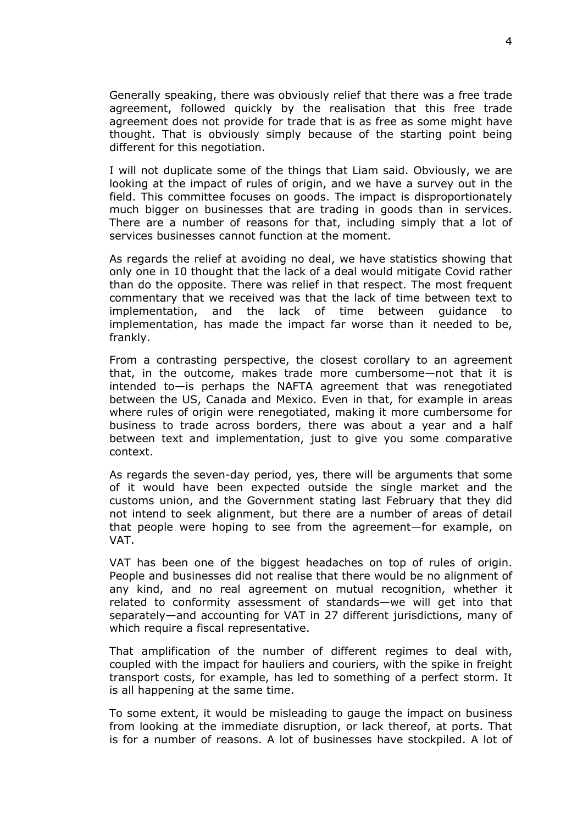Generally speaking, there was obviously relief that there was a free trade agreement, followed quickly by the realisation that this free trade agreement does not provide for trade that is as free as some might have thought. That is obviously simply because of the starting point being different for this negotiation.

I will not duplicate some of the things that Liam said. Obviously, we are looking at the impact of rules of origin, and we have a survey out in the field. This committee focuses on goods. The impact is disproportionately much bigger on businesses that are trading in goods than in services. There are a number of reasons for that, including simply that a lot of services businesses cannot function at the moment.

As regards the relief at avoiding no deal, we have statistics showing that only one in 10 thought that the lack of a deal would mitigate Covid rather than do the opposite. There was relief in that respect. The most frequent commentary that we received was that the lack of time between text to implementation, and the lack of time between guidance to implementation, has made the impact far worse than it needed to be, frankly.

From a contrasting perspective, the closest corollary to an agreement that, in the outcome, makes trade more cumbersome—not that it is intended to—is perhaps the NAFTA agreement that was renegotiated between the US, Canada and Mexico. Even in that, for example in areas where rules of origin were renegotiated, making it more cumbersome for business to trade across borders, there was about a year and a half between text and implementation, just to give you some comparative context.

As regards the seven-day period, yes, there will be arguments that some of it would have been expected outside the single market and the customs union, and the Government stating last February that they did not intend to seek alignment, but there are a number of areas of detail that people were hoping to see from the agreement—for example, on VAT.

VAT has been one of the biggest headaches on top of rules of origin. People and businesses did not realise that there would be no alignment of any kind, and no real agreement on mutual recognition, whether it related to conformity assessment of standards—we will get into that separately—and accounting for VAT in 27 different jurisdictions, many of which require a fiscal representative.

That amplification of the number of different regimes to deal with, coupled with the impact for hauliers and couriers, with the spike in freight transport costs, for example, has led to something of a perfect storm. It is all happening at the same time.

To some extent, it would be misleading to gauge the impact on business from looking at the immediate disruption, or lack thereof, at ports. That is for a number of reasons. A lot of businesses have stockpiled. A lot of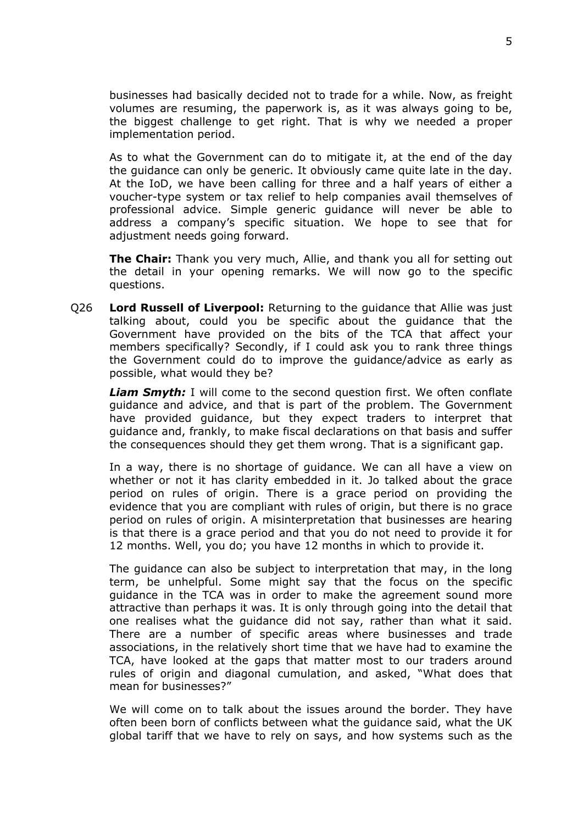businesses had basically decided not to trade for a while. Now, as freight volumes are resuming, the paperwork is, as it was always going to be, the biggest challenge to get right. That is why we needed a proper implementation period.

As to what the Government can do to mitigate it, at the end of the day the guidance can only be generic. It obviously came quite late in the day. At the IoD, we have been calling for three and a half years of either a voucher-type system or tax relief to help companies avail themselves of professional advice. Simple generic guidance will never be able to address a company's specific situation. We hope to see that for adjustment needs going forward.

**The Chair:** Thank you very much, Allie, and thank you all for setting out the detail in your opening remarks. We will now go to the specific questions.

Q26 **Lord Russell of Liverpool:** Returning to the guidance that Allie was just talking about, could you be specific about the guidance that the Government have provided on the bits of the TCA that affect your members specifically? Secondly, if I could ask you to rank three things the Government could do to improve the guidance/advice as early as possible, what would they be?

*Liam Smyth:* I will come to the second question first. We often conflate guidance and advice, and that is part of the problem. The Government have provided guidance, but they expect traders to interpret that guidance and, frankly, to make fiscal declarations on that basis and suffer the consequences should they get them wrong. That is a significant gap.

In a way, there is no shortage of guidance. We can all have a view on whether or not it has clarity embedded in it. Jo talked about the grace period on rules of origin. There is a grace period on providing the evidence that you are compliant with rules of origin, but there is no grace period on rules of origin. A misinterpretation that businesses are hearing is that there is a grace period and that you do not need to provide it for 12 months. Well, you do; you have 12 months in which to provide it.

The guidance can also be subject to interpretation that may, in the long term, be unhelpful. Some might say that the focus on the specific guidance in the TCA was in order to make the agreement sound more attractive than perhaps it was. It is only through going into the detail that one realises what the guidance did not say, rather than what it said. There are a number of specific areas where businesses and trade associations, in the relatively short time that we have had to examine the TCA, have looked at the gaps that matter most to our traders around rules of origin and diagonal cumulation, and asked, "What does that mean for businesses?"

We will come on to talk about the issues around the border. They have often been born of conflicts between what the guidance said, what the UK global tariff that we have to rely on says, and how systems such as the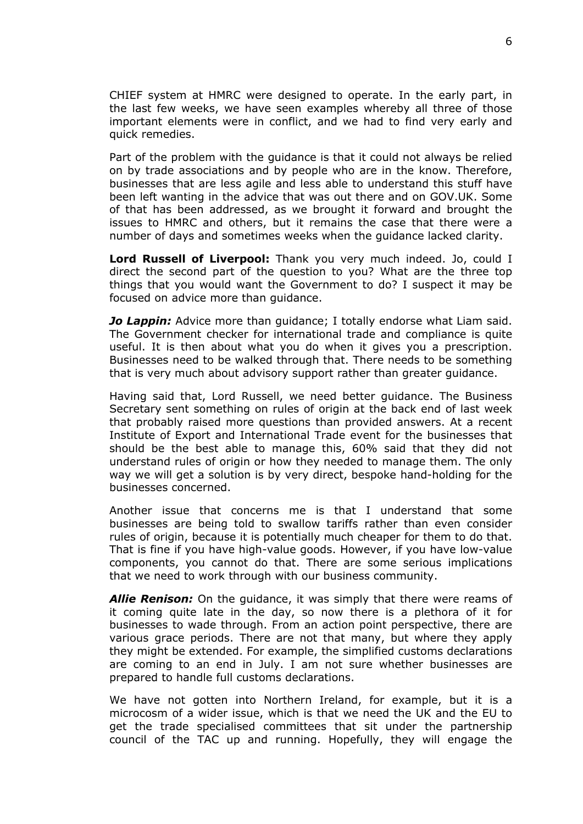CHIEF system at HMRC were designed to operate. In the early part, in the last few weeks, we have seen examples whereby all three of those important elements were in conflict, and we had to find very early and quick remedies.

Part of the problem with the guidance is that it could not always be relied on by trade associations and by people who are in the know. Therefore, businesses that are less agile and less able to understand this stuff have been left wanting in the advice that was out there and on GOV.UK. Some of that has been addressed, as we brought it forward and brought the issues to HMRC and others, but it remains the case that there were a number of days and sometimes weeks when the guidance lacked clarity.

**Lord Russell of Liverpool:** Thank you very much indeed. Jo, could I direct the second part of the question to you? What are the three top things that you would want the Government to do? I suspect it may be focused on advice more than guidance.

*Jo Lappin:* Advice more than guidance; I totally endorse what Liam said. The Government checker for international trade and compliance is quite useful. It is then about what you do when it gives you a prescription. Businesses need to be walked through that. There needs to be something that is very much about advisory support rather than greater guidance.

Having said that, Lord Russell, we need better guidance. The Business Secretary sent something on rules of origin at the back end of last week that probably raised more questions than provided answers. At a recent Institute of Export and International Trade event for the businesses that should be the best able to manage this, 60% said that they did not understand rules of origin or how they needed to manage them. The only way we will get a solution is by very direct, bespoke hand-holding for the businesses concerned.

Another issue that concerns me is that I understand that some businesses are being told to swallow tariffs rather than even consider rules of origin, because it is potentially much cheaper for them to do that. That is fine if you have high-value goods. However, if you have low-value components, you cannot do that. There are some serious implications that we need to work through with our business community.

*Allie Renison:* On the guidance, it was simply that there were reams of it coming quite late in the day, so now there is a plethora of it for businesses to wade through. From an action point perspective, there are various grace periods. There are not that many, but where they apply they might be extended. For example, the simplified customs declarations are coming to an end in July. I am not sure whether businesses are prepared to handle full customs declarations.

We have not gotten into Northern Ireland, for example, but it is a microcosm of a wider issue, which is that we need the UK and the EU to get the trade specialised committees that sit under the partnership council of the TAC up and running. Hopefully, they will engage the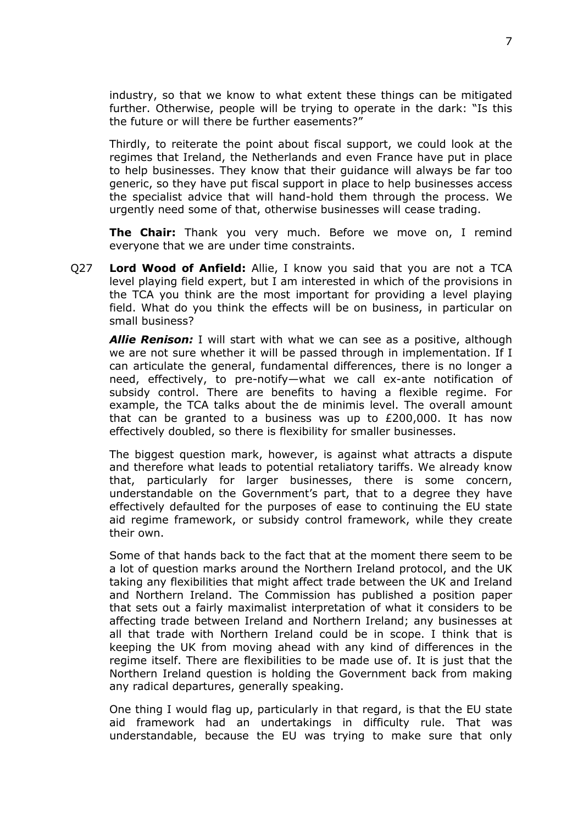industry, so that we know to what extent these things can be mitigated further. Otherwise, people will be trying to operate in the dark: "Is this the future or will there be further easements?"

Thirdly, to reiterate the point about fiscal support, we could look at the regimes that Ireland, the Netherlands and even France have put in place to help businesses. They know that their guidance will always be far too generic, so they have put fiscal support in place to help businesses access the specialist advice that will hand-hold them through the process. We urgently need some of that, otherwise businesses will cease trading.

**The Chair:** Thank you very much. Before we move on, I remind everyone that we are under time constraints.

Q27 **Lord Wood of Anfield:** Allie, I know you said that you are not a TCA level playing field expert, but I am interested in which of the provisions in the TCA you think are the most important for providing a level playing field. What do you think the effects will be on business, in particular on small business?

*Allie Renison:* I will start with what we can see as a positive, although we are not sure whether it will be passed through in implementation. If I can articulate the general, fundamental differences, there is no longer a need, effectively, to pre-notify—what we call ex-ante notification of subsidy control. There are benefits to having a flexible regime. For example, the TCA talks about the de minimis level. The overall amount that can be granted to a business was up to £200,000. It has now effectively doubled, so there is flexibility for smaller businesses.

The biggest question mark, however, is against what attracts a dispute and therefore what leads to potential retaliatory tariffs. We already know that, particularly for larger businesses, there is some concern, understandable on the Government's part, that to a degree they have effectively defaulted for the purposes of ease to continuing the EU state aid regime framework, or subsidy control framework, while they create their own.

Some of that hands back to the fact that at the moment there seem to be a lot of question marks around the Northern Ireland protocol, and the UK taking any flexibilities that might affect trade between the UK and Ireland and Northern Ireland. The Commission has published a position paper that sets out a fairly maximalist interpretation of what it considers to be affecting trade between Ireland and Northern Ireland; any businesses at all that trade with Northern Ireland could be in scope. I think that is keeping the UK from moving ahead with any kind of differences in the regime itself. There are flexibilities to be made use of. It is just that the Northern Ireland question is holding the Government back from making any radical departures, generally speaking.

One thing I would flag up, particularly in that regard, is that the EU state aid framework had an undertakings in difficulty rule. That was understandable, because the EU was trying to make sure that only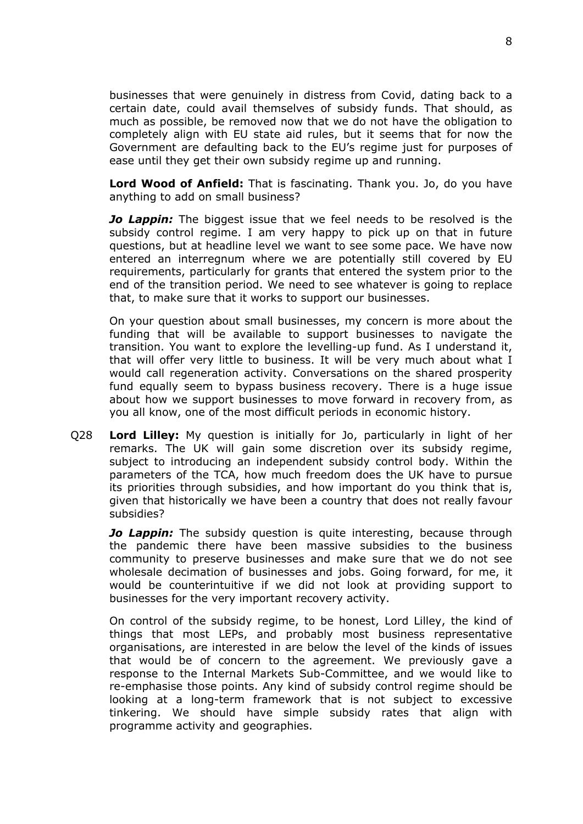businesses that were genuinely in distress from Covid, dating back to a certain date, could avail themselves of subsidy funds. That should, as much as possible, be removed now that we do not have the obligation to completely align with EU state aid rules, but it seems that for now the Government are defaulting back to the EU's regime just for purposes of ease until they get their own subsidy regime up and running.

**Lord Wood of Anfield:** That is fascinating. Thank you. Jo, do you have anything to add on small business?

*Jo Lappin:* The biggest issue that we feel needs to be resolved is the subsidy control regime. I am very happy to pick up on that in future questions, but at headline level we want to see some pace. We have now entered an interregnum where we are potentially still covered by EU requirements, particularly for grants that entered the system prior to the end of the transition period. We need to see whatever is going to replace that, to make sure that it works to support our businesses.

On your question about small businesses, my concern is more about the funding that will be available to support businesses to navigate the transition. You want to explore the levelling-up fund. As I understand it, that will offer very little to business. It will be very much about what I would call regeneration activity. Conversations on the shared prosperity fund equally seem to bypass business recovery. There is a huge issue about how we support businesses to move forward in recovery from, as you all know, one of the most difficult periods in economic history.

Q28 **Lord Lilley:** My question is initially for Jo, particularly in light of her remarks. The UK will gain some discretion over its subsidy regime, subject to introducing an independent subsidy control body. Within the parameters of the TCA, how much freedom does the UK have to pursue its priorities through subsidies, and how important do you think that is, given that historically we have been a country that does not really favour subsidies?

*Jo Lappin:* The subsidy question is quite interesting, because through the pandemic there have been massive subsidies to the business community to preserve businesses and make sure that we do not see wholesale decimation of businesses and jobs. Going forward, for me, it would be counterintuitive if we did not look at providing support to businesses for the very important recovery activity.

On control of the subsidy regime, to be honest, Lord Lilley, the kind of things that most LEPs, and probably most business representative organisations, are interested in are below the level of the kinds of issues that would be of concern to the agreement. We previously gave a response to the Internal Markets Sub-Committee, and we would like to re-emphasise those points. Any kind of subsidy control regime should be looking at a long-term framework that is not subject to excessive tinkering. We should have simple subsidy rates that align with programme activity and geographies.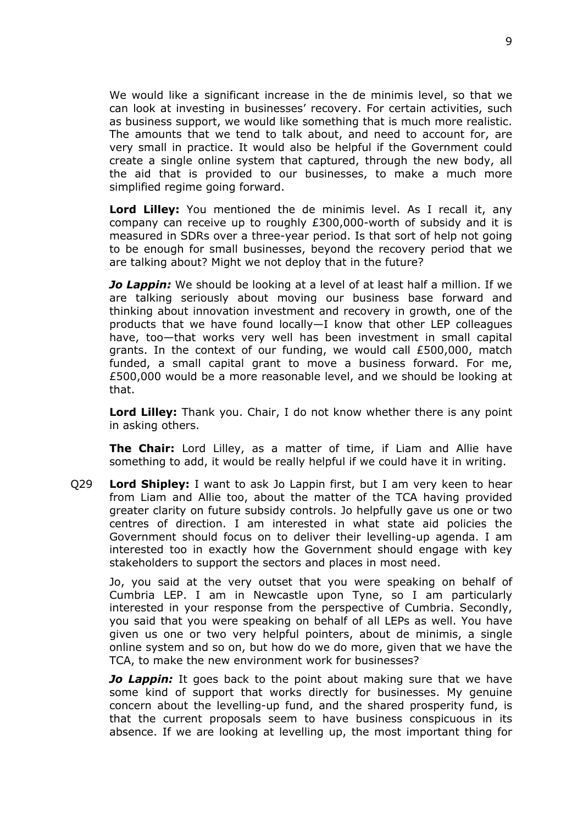We would like a significant increase in the de minimis level, so that we can look at investing in businesses' recovery. For certain activities, such as business support, we would like something that is much more realistic. The amounts that we tend to talk about, and need to account for, are very small in practice. It would also be helpful if the Government could create a single online system that captured, through the new body, all the aid that is provided to our businesses, to make a much more simplified regime going forward.

**Lord Lilley:** You mentioned the de minimis level. As I recall it, any company can receive up to roughly £300,000-worth of subsidy and it is measured in SDRs over a three-year period. Is that sort of help not going to be enough for small businesses, beyond the recovery period that we are talking about? Might we not deploy that in the future?

*Jo Lappin:* We should be looking at a level of at least half a million. If we are talking seriously about moving our business base forward and thinking about innovation investment and recovery in growth, one of the products that we have found locally—I know that other LEP colleagues have, too—that works very well has been investment in small capital grants. In the context of our funding, we would call £500,000, match funded, a small capital grant to move a business forward. For me, £500,000 would be a more reasonable level, and we should be looking at that.

**Lord Lilley:** Thank you. Chair, I do not know whether there is any point in asking others.

**The Chair:** Lord Lilley, as a matter of time, if Liam and Allie have something to add, it would be really helpful if we could have it in writing.

Q29 **Lord Shipley:** I want to ask Jo Lappin first, but I am very keen to hear from Liam and Allie too, about the matter of the TCA having provided greater clarity on future subsidy controls. Jo helpfully gave us one or two centres of direction. I am interested in what state aid policies the Government should focus on to deliver their levelling-up agenda. I am interested too in exactly how the Government should engage with key stakeholders to support the sectors and places in most need.

Jo, you said at the very outset that you were speaking on behalf of Cumbria LEP. I am in Newcastle upon Tyne, so I am particularly interested in your response from the perspective of Cumbria. Secondly, you said that you were speaking on behalf of all LEPs as well. You have given us one or two very helpful pointers, about de minimis, a single online system and so on, but how do we do more, given that we have the TCA, to make the new environment work for businesses?

*Jo Lappin:* It goes back to the point about making sure that we have some kind of support that works directly for businesses. My genuine concern about the levelling-up fund, and the shared prosperity fund, is that the current proposals seem to have business conspicuous in its absence. If we are looking at levelling up, the most important thing for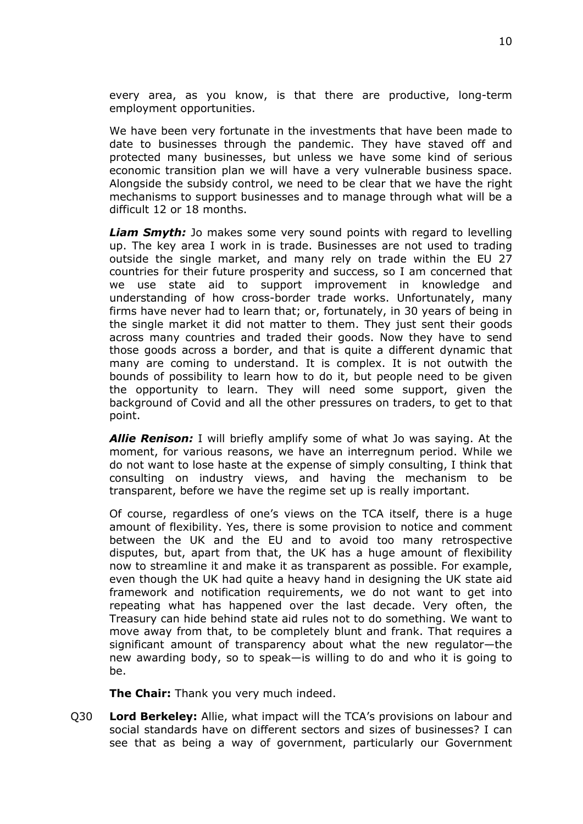every area, as you know, is that there are productive, long-term employment opportunities.

We have been very fortunate in the investments that have been made to date to businesses through the pandemic. They have staved off and protected many businesses, but unless we have some kind of serious economic transition plan we will have a very vulnerable business space. Alongside the subsidy control, we need to be clear that we have the right mechanisms to support businesses and to manage through what will be a difficult 12 or 18 months.

*Liam Smyth:* Jo makes some very sound points with regard to levelling up. The key area I work in is trade. Businesses are not used to trading outside the single market, and many rely on trade within the EU 27 countries for their future prosperity and success, so I am concerned that we use state aid to support improvement in knowledge and understanding of how cross-border trade works. Unfortunately, many firms have never had to learn that; or, fortunately, in 30 years of being in the single market it did not matter to them. They just sent their goods across many countries and traded their goods. Now they have to send those goods across a border, and that is quite a different dynamic that many are coming to understand. It is complex. It is not outwith the bounds of possibility to learn how to do it, but people need to be given the opportunity to learn. They will need some support, given the background of Covid and all the other pressures on traders, to get to that point.

*Allie Renison:* I will briefly amplify some of what Jo was saying. At the moment, for various reasons, we have an interregnum period. While we do not want to lose haste at the expense of simply consulting, I think that consulting on industry views, and having the mechanism to be transparent, before we have the regime set up is really important.

Of course, regardless of one's views on the TCA itself, there is a huge amount of flexibility. Yes, there is some provision to notice and comment between the UK and the EU and to avoid too many retrospective disputes, but, apart from that, the UK has a huge amount of flexibility now to streamline it and make it as transparent as possible. For example, even though the UK had quite a heavy hand in designing the UK state aid framework and notification requirements, we do not want to get into repeating what has happened over the last decade. Very often, the Treasury can hide behind state aid rules not to do something. We want to move away from that, to be completely blunt and frank. That requires a significant amount of transparency about what the new regulator—the new awarding body, so to speak—is willing to do and who it is going to be.

**The Chair:** Thank you very much indeed.

Q30 **Lord Berkeley:** Allie, what impact will the TCA's provisions on labour and social standards have on different sectors and sizes of businesses? I can see that as being a way of government, particularly our Government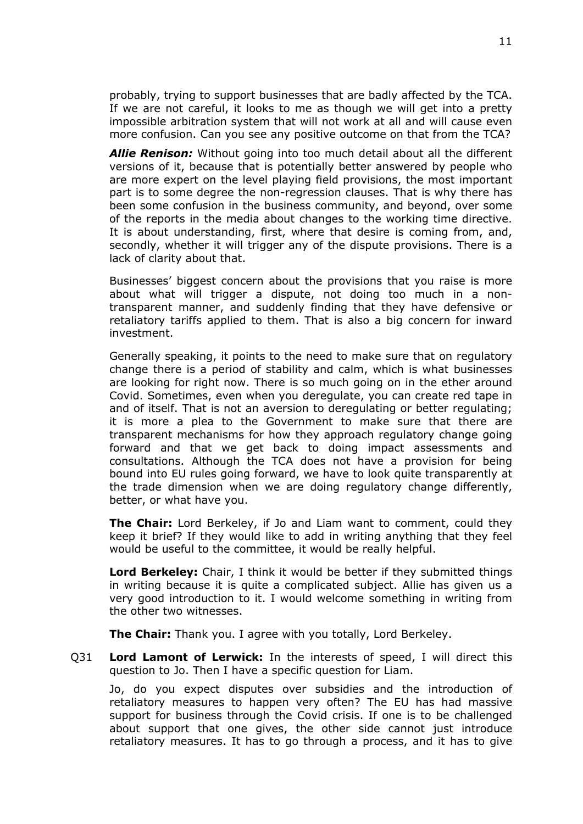probably, trying to support businesses that are badly affected by the TCA. If we are not careful, it looks to me as though we will get into a pretty impossible arbitration system that will not work at all and will cause even more confusion. Can you see any positive outcome on that from the TCA?

*Allie Renison:* Without going into too much detail about all the different versions of it, because that is potentially better answered by people who are more expert on the level playing field provisions, the most important part is to some degree the non-regression clauses. That is why there has been some confusion in the business community, and beyond, over some of the reports in the media about changes to the working time directive. It is about understanding, first, where that desire is coming from, and, secondly, whether it will trigger any of the dispute provisions. There is a lack of clarity about that.

Businesses' biggest concern about the provisions that you raise is more about what will trigger a dispute, not doing too much in a nontransparent manner, and suddenly finding that they have defensive or retaliatory tariffs applied to them. That is also a big concern for inward investment.

Generally speaking, it points to the need to make sure that on regulatory change there is a period of stability and calm, which is what businesses are looking for right now. There is so much going on in the ether around Covid. Sometimes, even when you deregulate, you can create red tape in and of itself. That is not an aversion to deregulating or better regulating; it is more a plea to the Government to make sure that there are transparent mechanisms for how they approach regulatory change going forward and that we get back to doing impact assessments and consultations. Although the TCA does not have a provision for being bound into EU rules going forward, we have to look quite transparently at the trade dimension when we are doing regulatory change differently, better, or what have you.

**The Chair:** Lord Berkeley, if Jo and Liam want to comment, could they keep it brief? If they would like to add in writing anything that they feel would be useful to the committee, it would be really helpful.

**Lord Berkeley:** Chair, I think it would be better if they submitted things in writing because it is quite a complicated subject. Allie has given us a very good introduction to it. I would welcome something in writing from the other two witnesses.

**The Chair:** Thank you. I agree with you totally, Lord Berkeley.

Q31 **Lord Lamont of Lerwick:** In the interests of speed, I will direct this question to Jo. Then I have a specific question for Liam.

Jo, do you expect disputes over subsidies and the introduction of retaliatory measures to happen very often? The EU has had massive support for business through the Covid crisis. If one is to be challenged about support that one gives, the other side cannot just introduce retaliatory measures. It has to go through a process, and it has to give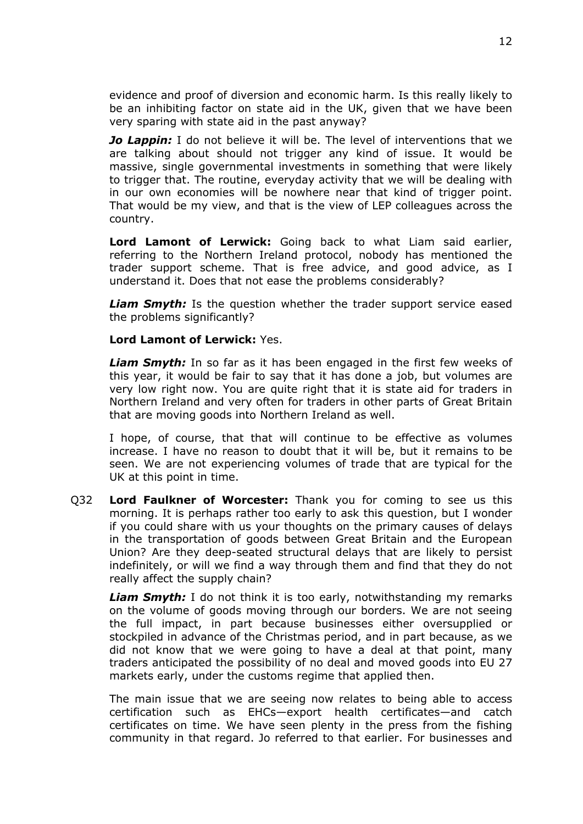evidence and proof of diversion and economic harm. Is this really likely to be an inhibiting factor on state aid in the UK, given that we have been very sparing with state aid in the past anyway?

*Jo Lappin:* I do not believe it will be. The level of interventions that we are talking about should not trigger any kind of issue. It would be massive, single governmental investments in something that were likely to trigger that. The routine, everyday activity that we will be dealing with in our own economies will be nowhere near that kind of trigger point. That would be my view, and that is the view of LEP colleagues across the country.

**Lord Lamont of Lerwick:** Going back to what Liam said earlier, referring to the Northern Ireland protocol, nobody has mentioned the trader support scheme. That is free advice, and good advice, as I understand it. Does that not ease the problems considerably?

*Liam Smyth:* Is the question whether the trader support service eased the problems significantly?

**Lord Lamont of Lerwick:** Yes.

*Liam Smyth:* In so far as it has been engaged in the first few weeks of this year, it would be fair to say that it has done a job, but volumes are very low right now. You are quite right that it is state aid for traders in Northern Ireland and very often for traders in other parts of Great Britain that are moving goods into Northern Ireland as well.

I hope, of course, that that will continue to be effective as volumes increase. I have no reason to doubt that it will be, but it remains to be seen. We are not experiencing volumes of trade that are typical for the UK at this point in time.

Q32 **Lord Faulkner of Worcester:** Thank you for coming to see us this morning. It is perhaps rather too early to ask this question, but I wonder if you could share with us your thoughts on the primary causes of delays in the transportation of goods between Great Britain and the European Union? Are they deep-seated structural delays that are likely to persist indefinitely, or will we find a way through them and find that they do not really affect the supply chain?

*Liam Smyth:* I do not think it is too early, notwithstanding my remarks on the volume of goods moving through our borders. We are not seeing the full impact, in part because businesses either oversupplied or stockpiled in advance of the Christmas period, and in part because, as we did not know that we were going to have a deal at that point, many traders anticipated the possibility of no deal and moved goods into EU 27 markets early, under the customs regime that applied then.

The main issue that we are seeing now relates to being able to access certification such as EHCs—export health certificates—and catch certificates on time. We have seen plenty in the press from the fishing community in that regard. Jo referred to that earlier. For businesses and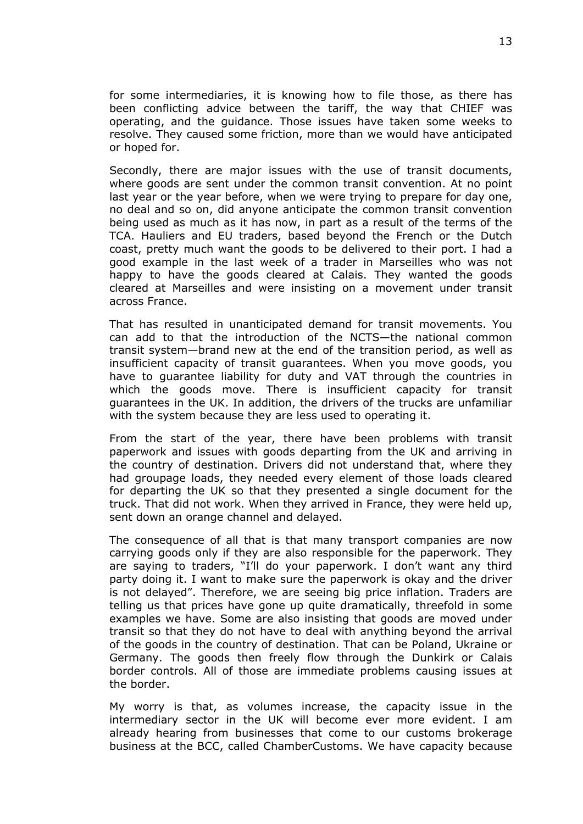for some intermediaries, it is knowing how to file those, as there has been conflicting advice between the tariff, the way that CHIEF was operating, and the guidance. Those issues have taken some weeks to resolve. They caused some friction, more than we would have anticipated or hoped for.

Secondly, there are major issues with the use of transit documents, where goods are sent under the common transit convention. At no point last year or the year before, when we were trying to prepare for day one, no deal and so on, did anyone anticipate the common transit convention being used as much as it has now, in part as a result of the terms of the TCA. Hauliers and EU traders, based beyond the French or the Dutch coast, pretty much want the goods to be delivered to their port. I had a good example in the last week of a trader in Marseilles who was not happy to have the goods cleared at Calais. They wanted the goods cleared at Marseilles and were insisting on a movement under transit across France.

That has resulted in unanticipated demand for transit movements. You can add to that the introduction of the NCTS—the national common transit system—brand new at the end of the transition period, as well as insufficient capacity of transit guarantees. When you move goods, you have to guarantee liability for duty and VAT through the countries in which the goods move. There is insufficient capacity for transit guarantees in the UK. In addition, the drivers of the trucks are unfamiliar with the system because they are less used to operating it.

From the start of the year, there have been problems with transit paperwork and issues with goods departing from the UK and arriving in the country of destination. Drivers did not understand that, where they had groupage loads, they needed every element of those loads cleared for departing the UK so that they presented a single document for the truck. That did not work. When they arrived in France, they were held up, sent down an orange channel and delayed.

The consequence of all that is that many transport companies are now carrying goods only if they are also responsible for the paperwork. They are saying to traders, "I'll do your paperwork. I don't want any third party doing it. I want to make sure the paperwork is okay and the driver is not delayed". Therefore, we are seeing big price inflation. Traders are telling us that prices have gone up quite dramatically, threefold in some examples we have. Some are also insisting that goods are moved under transit so that they do not have to deal with anything beyond the arrival of the goods in the country of destination. That can be Poland, Ukraine or Germany. The goods then freely flow through the Dunkirk or Calais border controls. All of those are immediate problems causing issues at the border.

My worry is that, as volumes increase, the capacity issue in the intermediary sector in the UK will become ever more evident. I am already hearing from businesses that come to our customs brokerage business at the BCC, called ChamberCustoms. We have capacity because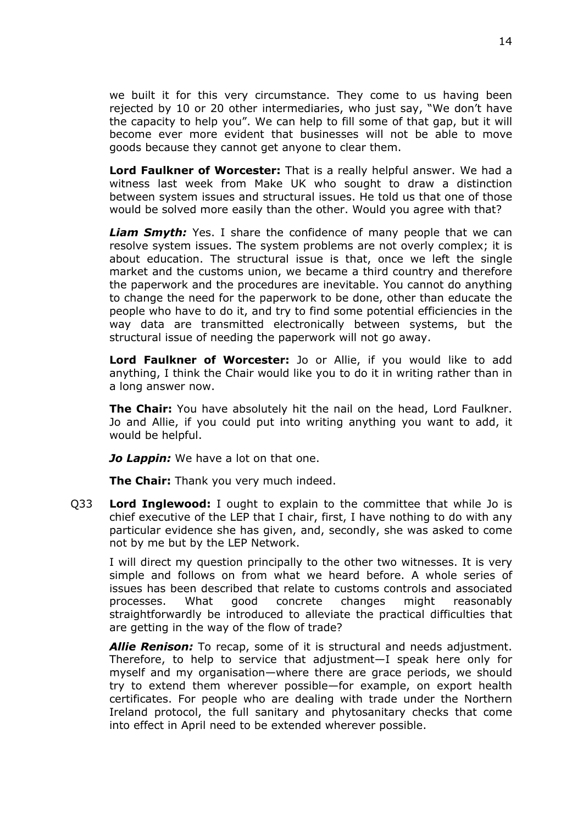we built it for this very circumstance. They come to us having been rejected by 10 or 20 other intermediaries, who just say, "We don't have the capacity to help you". We can help to fill some of that gap, but it will become ever more evident that businesses will not be able to move goods because they cannot get anyone to clear them.

**Lord Faulkner of Worcester:** That is a really helpful answer. We had a witness last week from Make UK who sought to draw a distinction between system issues and structural issues. He told us that one of those would be solved more easily than the other. Would you agree with that?

*Liam Smyth:* Yes. I share the confidence of many people that we can resolve system issues. The system problems are not overly complex; it is about education. The structural issue is that, once we left the single market and the customs union, we became a third country and therefore the paperwork and the procedures are inevitable. You cannot do anything to change the need for the paperwork to be done, other than educate the people who have to do it, and try to find some potential efficiencies in the way data are transmitted electronically between systems, but the structural issue of needing the paperwork will not go away.

**Lord Faulkner of Worcester:** Jo or Allie, if you would like to add anything, I think the Chair would like you to do it in writing rather than in a long answer now.

**The Chair:** You have absolutely hit the nail on the head, Lord Faulkner. Jo and Allie, if you could put into writing anything you want to add, it would be helpful.

*Jo Lappin:* We have a lot on that one.

**The Chair:** Thank you very much indeed.

Q33 **Lord Inglewood:** I ought to explain to the committee that while Jo is chief executive of the LEP that I chair, first, I have nothing to do with any particular evidence she has given, and, secondly, she was asked to come not by me but by the LEP Network.

I will direct my question principally to the other two witnesses. It is very simple and follows on from what we heard before. A whole series of issues has been described that relate to customs controls and associated processes. What good concrete changes might reasonably straightforwardly be introduced to alleviate the practical difficulties that are getting in the way of the flow of trade?

*Allie Renison:* To recap, some of it is structural and needs adjustment. Therefore, to help to service that adjustment—I speak here only for myself and my organisation—where there are grace periods, we should try to extend them wherever possible—for example, on export health certificates. For people who are dealing with trade under the Northern Ireland protocol, the full sanitary and phytosanitary checks that come into effect in April need to be extended wherever possible.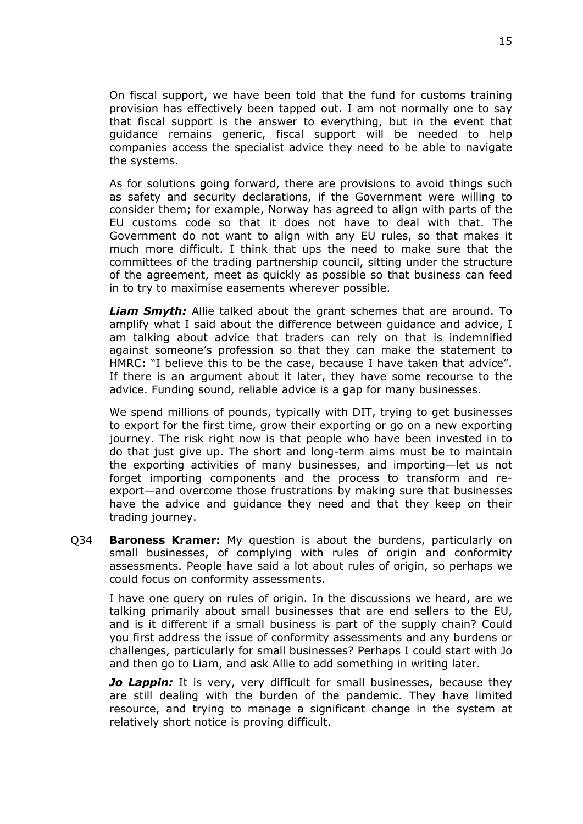On fiscal support, we have been told that the fund for customs training provision has effectively been tapped out. I am not normally one to say that fiscal support is the answer to everything, but in the event that guidance remains generic, fiscal support will be needed to help companies access the specialist advice they need to be able to navigate the systems.

As for solutions going forward, there are provisions to avoid things such as safety and security declarations, if the Government were willing to consider them; for example, Norway has agreed to align with parts of the EU customs code so that it does not have to deal with that. The Government do not want to align with any EU rules, so that makes it much more difficult. I think that ups the need to make sure that the committees of the trading partnership council, sitting under the structure of the agreement, meet as quickly as possible so that business can feed in to try to maximise easements wherever possible.

*Liam Smyth:* Allie talked about the grant schemes that are around. To amplify what I said about the difference between guidance and advice, I am talking about advice that traders can rely on that is indemnified against someone's profession so that they can make the statement to HMRC: "I believe this to be the case, because I have taken that advice". If there is an argument about it later, they have some recourse to the advice. Funding sound, reliable advice is a gap for many businesses.

We spend millions of pounds, typically with DIT, trying to get businesses to export for the first time, grow their exporting or go on a new exporting journey. The risk right now is that people who have been invested in to do that just give up. The short and long-term aims must be to maintain the exporting activities of many businesses, and importing—let us not forget importing components and the process to transform and reexport—and overcome those frustrations by making sure that businesses have the advice and guidance they need and that they keep on their trading journey.

Q34 **Baroness Kramer:** My question is about the burdens, particularly on small businesses, of complying with rules of origin and conformity assessments. People have said a lot about rules of origin, so perhaps we could focus on conformity assessments.

I have one query on rules of origin. In the discussions we heard, are we talking primarily about small businesses that are end sellers to the EU, and is it different if a small business is part of the supply chain? Could you first address the issue of conformity assessments and any burdens or challenges, particularly for small businesses? Perhaps I could start with Jo and then go to Liam, and ask Allie to add something in writing later.

*Jo Lappin:* It is very, very difficult for small businesses, because they are still dealing with the burden of the pandemic. They have limited resource, and trying to manage a significant change in the system at relatively short notice is proving difficult.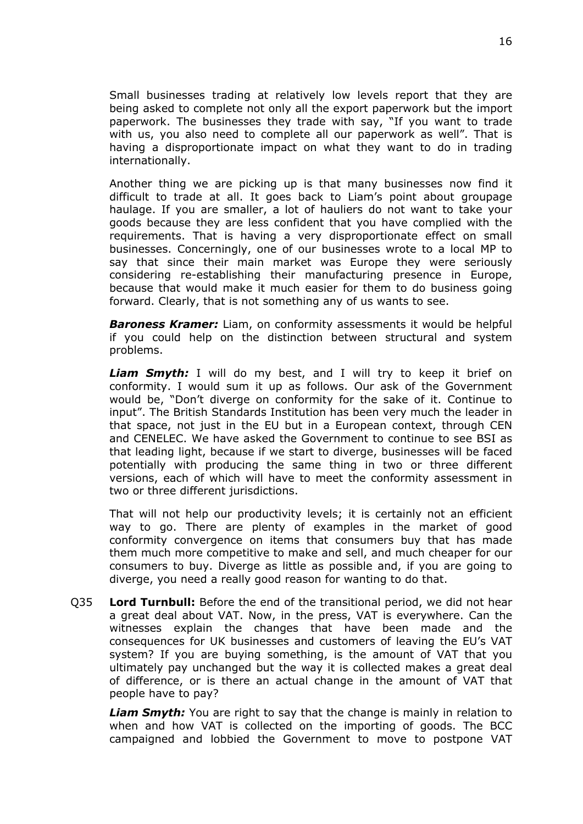Small businesses trading at relatively low levels report that they are being asked to complete not only all the export paperwork but the import paperwork. The businesses they trade with say, "If you want to trade with us, you also need to complete all our paperwork as well". That is having a disproportionate impact on what they want to do in trading internationally.

Another thing we are picking up is that many businesses now find it difficult to trade at all. It goes back to Liam's point about groupage haulage. If you are smaller, a lot of hauliers do not want to take your goods because they are less confident that you have complied with the requirements. That is having a very disproportionate effect on small businesses. Concerningly, one of our businesses wrote to a local MP to say that since their main market was Europe they were seriously considering re-establishing their manufacturing presence in Europe, because that would make it much easier for them to do business going forward. Clearly, that is not something any of us wants to see.

*Baroness Kramer:* Liam, on conformity assessments it would be helpful if you could help on the distinction between structural and system problems.

**Liam Smyth:** I will do my best, and I will try to keep it brief on conformity. I would sum it up as follows. Our ask of the Government would be, "Don't diverge on conformity for the sake of it. Continue to input". The British Standards Institution has been very much the leader in that space, not just in the EU but in a European context, through CEN and CENELEC. We have asked the Government to continue to see BSI as that leading light, because if we start to diverge, businesses will be faced potentially with producing the same thing in two or three different versions, each of which will have to meet the conformity assessment in two or three different jurisdictions.

That will not help our productivity levels; it is certainly not an efficient way to go. There are plenty of examples in the market of good conformity convergence on items that consumers buy that has made them much more competitive to make and sell, and much cheaper for our consumers to buy. Diverge as little as possible and, if you are going to diverge, you need a really good reason for wanting to do that.

Q35 **Lord Turnbull:** Before the end of the transitional period, we did not hear a great deal about VAT. Now, in the press, VAT is everywhere. Can the witnesses explain the changes that have been made and the consequences for UK businesses and customers of leaving the EU's VAT system? If you are buying something, is the amount of VAT that you ultimately pay unchanged but the way it is collected makes a great deal of difference, or is there an actual change in the amount of VAT that people have to pay?

*Liam Smyth:* You are right to say that the change is mainly in relation to when and how VAT is collected on the importing of goods. The BCC campaigned and lobbied the Government to move to postpone VAT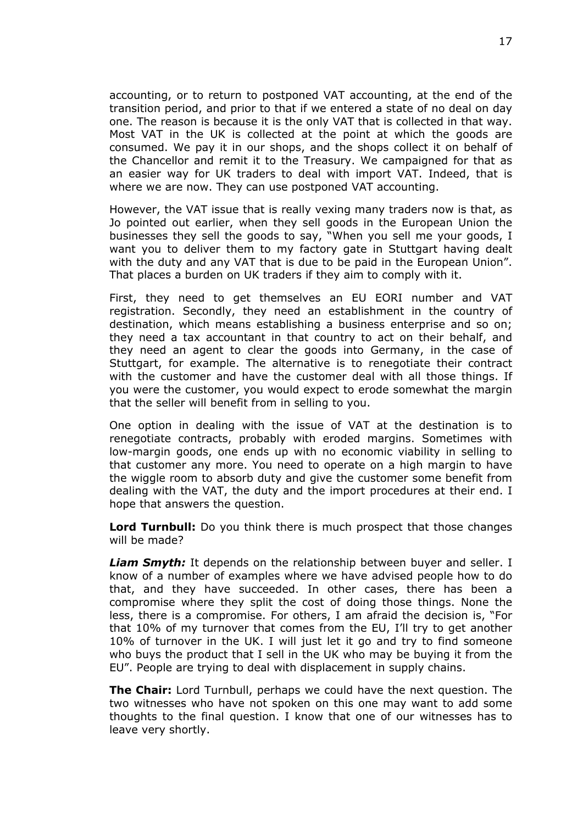accounting, or to return to postponed VAT accounting, at the end of the transition period, and prior to that if we entered a state of no deal on day one. The reason is because it is the only VAT that is collected in that way. Most VAT in the UK is collected at the point at which the goods are consumed. We pay it in our shops, and the shops collect it on behalf of the Chancellor and remit it to the Treasury. We campaigned for that as an easier way for UK traders to deal with import VAT. Indeed, that is where we are now. They can use postponed VAT accounting.

However, the VAT issue that is really vexing many traders now is that, as Jo pointed out earlier, when they sell goods in the European Union the businesses they sell the goods to say, "When you sell me your goods, I want you to deliver them to my factory gate in Stuttgart having dealt with the duty and any VAT that is due to be paid in the European Union". That places a burden on UK traders if they aim to comply with it.

First, they need to get themselves an EU EORI number and VAT registration. Secondly, they need an establishment in the country of destination, which means establishing a business enterprise and so on; they need a tax accountant in that country to act on their behalf, and they need an agent to clear the goods into Germany, in the case of Stuttgart, for example. The alternative is to renegotiate their contract with the customer and have the customer deal with all those things. If you were the customer, you would expect to erode somewhat the margin that the seller will benefit from in selling to you.

One option in dealing with the issue of VAT at the destination is to renegotiate contracts, probably with eroded margins. Sometimes with low-margin goods, one ends up with no economic viability in selling to that customer any more. You need to operate on a high margin to have the wiggle room to absorb duty and give the customer some benefit from dealing with the VAT, the duty and the import procedures at their end. I hope that answers the question.

**Lord Turnbull:** Do you think there is much prospect that those changes will be made?

*Liam Smyth:* It depends on the relationship between buyer and seller. I know of a number of examples where we have advised people how to do that, and they have succeeded. In other cases, there has been a compromise where they split the cost of doing those things. None the less, there is a compromise. For others, I am afraid the decision is, "For that 10% of my turnover that comes from the EU, I'll try to get another 10% of turnover in the UK. I will just let it go and try to find someone who buys the product that I sell in the UK who may be buying it from the EU". People are trying to deal with displacement in supply chains.

**The Chair:** Lord Turnbull, perhaps we could have the next question. The two witnesses who have not spoken on this one may want to add some thoughts to the final question. I know that one of our witnesses has to leave very shortly.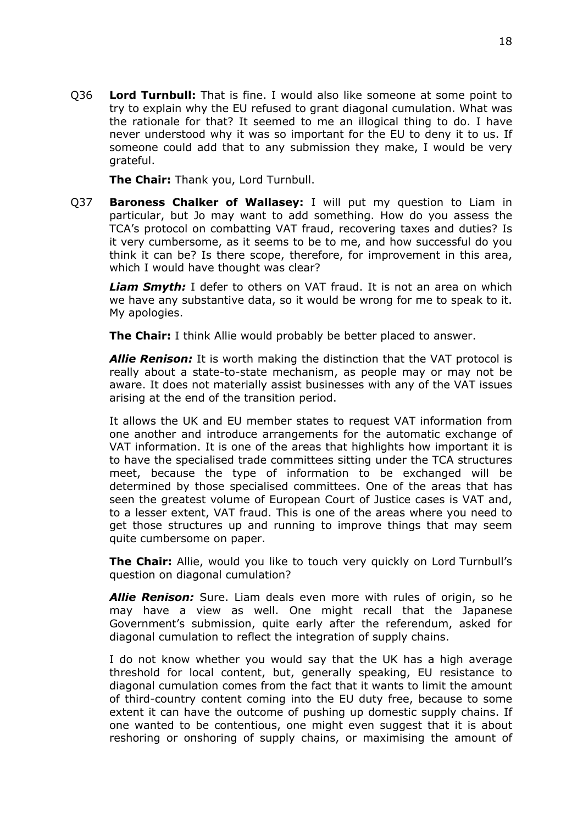Q36 **Lord Turnbull:** That is fine. I would also like someone at some point to try to explain why the EU refused to grant diagonal cumulation. What was the rationale for that? It seemed to me an illogical thing to do. I have never understood why it was so important for the EU to deny it to us. If someone could add that to any submission they make, I would be very grateful.

**The Chair:** Thank you, Lord Turnbull.

Q37 **Baroness Chalker of Wallasey:** I will put my question to Liam in particular, but Jo may want to add something. How do you assess the TCA's protocol on combatting VAT fraud, recovering taxes and duties? Is it very cumbersome, as it seems to be to me, and how successful do you think it can be? Is there scope, therefore, for improvement in this area, which I would have thought was clear?

*Liam Smyth:* I defer to others on VAT fraud. It is not an area on which we have any substantive data, so it would be wrong for me to speak to it. My apologies.

**The Chair:** I think Allie would probably be better placed to answer.

*Allie Renison:* It is worth making the distinction that the VAT protocol is really about a state-to-state mechanism, as people may or may not be aware. It does not materially assist businesses with any of the VAT issues arising at the end of the transition period.

It allows the UK and EU member states to request VAT information from one another and introduce arrangements for the automatic exchange of VAT information. It is one of the areas that highlights how important it is to have the specialised trade committees sitting under the TCA structures meet, because the type of information to be exchanged will be determined by those specialised committees. One of the areas that has seen the greatest volume of European Court of Justice cases is VAT and, to a lesser extent, VAT fraud. This is one of the areas where you need to get those structures up and running to improve things that may seem quite cumbersome on paper.

**The Chair:** Allie, would you like to touch very quickly on Lord Turnbull's question on diagonal cumulation?

*Allie Renison:* Sure. Liam deals even more with rules of origin, so he may have a view as well. One might recall that the Japanese Government's submission, quite early after the referendum, asked for diagonal cumulation to reflect the integration of supply chains.

I do not know whether you would say that the UK has a high average threshold for local content, but, generally speaking, EU resistance to diagonal cumulation comes from the fact that it wants to limit the amount of third-country content coming into the EU duty free, because to some extent it can have the outcome of pushing up domestic supply chains. If one wanted to be contentious, one might even suggest that it is about reshoring or onshoring of supply chains, or maximising the amount of